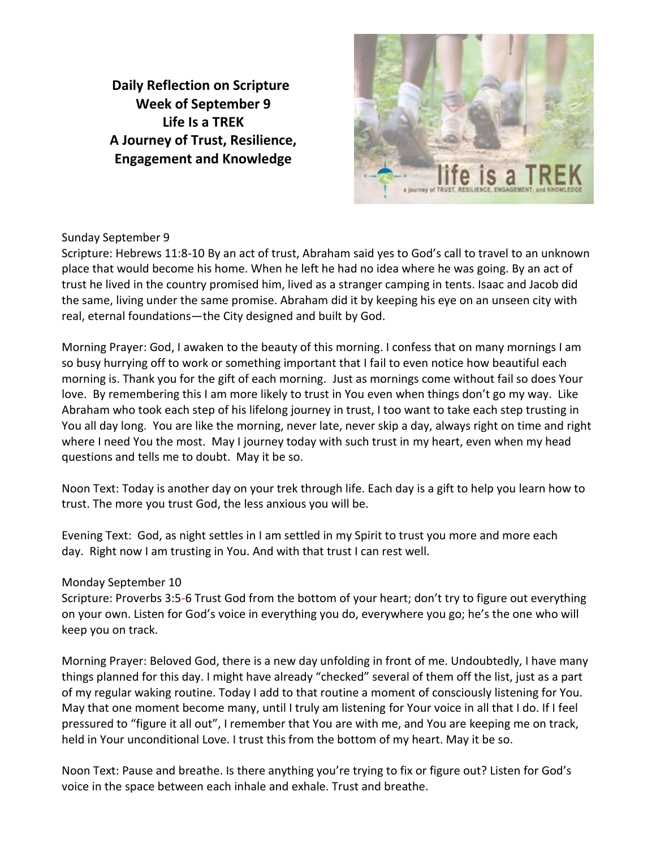**Daily Reflection on Scripture Week of September 9 Life Is a TREK A Journey of Trust, Resilience, Engagement and Knowledge**



# Sunday September 9

Scripture: Hebrews 11:8-10 By an act of trust, Abraham said yes to God's call to travel to an unknown place that would become his home. When he left he had no idea where he was going. By an act of trust he lived in the country promised him, lived as a stranger camping in tents. Isaac and Jacob did the same, living under the same promise. Abraham did it by keeping his eye on an unseen city with real, eternal foundations—the City designed and built by God.

Morning Prayer: God, I awaken to the beauty of this morning. I confess that on many mornings I am so busy hurrying off to work or something important that I fail to even notice how beautiful each morning is. Thank you for the gift of each morning. Just as mornings come without fail so does Your love. By remembering this I am more likely to trust in You even when things don't go my way. Like Abraham who took each step of his lifelong journey in trust, I too want to take each step trusting in You all day long. You are like the morning, never late, never skip a day, always right on time and right where I need You the most. May I journey today with such trust in my heart, even when my head questions and tells me to doubt. May it be so.

Noon Text: Today is another day on your trek through life. Each day is a gift to help you learn how to trust. The more you trust God, the less anxious you will be.

Evening Text: God, as night settles in I am settled in my Spirit to trust you more and more each day. Right now I am trusting in You. And with that trust I can rest well.

# Monday September 10

Scripture: Proverbs 3:5-6 Trust God from the bottom of your heart; don't try to figure out everything on your own. Listen for God's voice in everything you do, everywhere you go; he's the one who will keep you on track.

Morning Prayer: Beloved God, there is a new day unfolding in front of me. Undoubtedly, I have many things planned for this day. I might have already "checked" several of them off the list, just as a part of my regular waking routine. Today I add to that routine a moment of consciously listening for You. May that one moment become many, until I truly am listening for Your voice in all that I do. If I feel pressured to "figure it all out", I remember that You are with me, and You are keeping me on track, held in Your unconditional Love. I trust this from the bottom of my heart. May it be so.

Noon Text: Pause and breathe. Is there anything you're trying to fix or figure out? Listen for God's voice in the space between each inhale and exhale. Trust and breathe.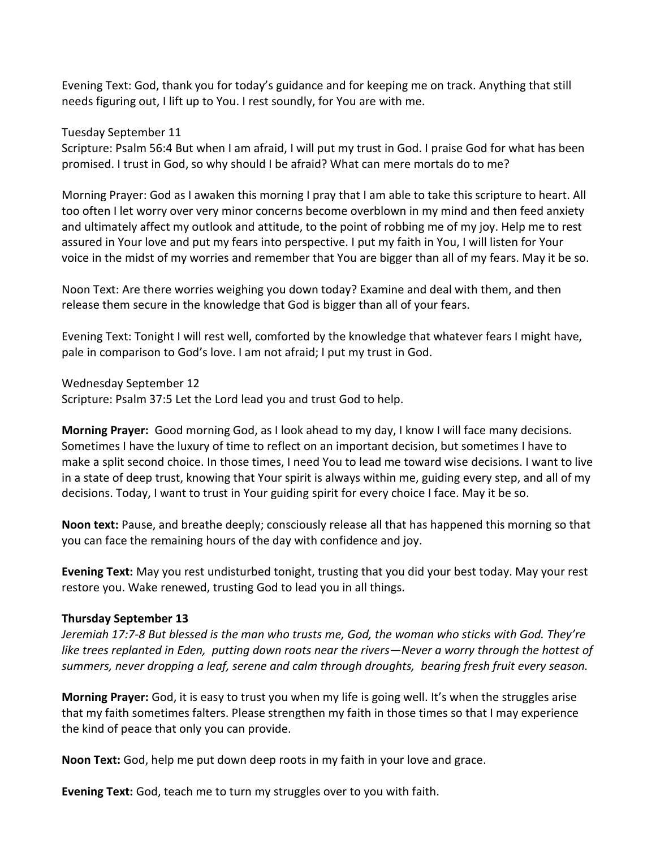Evening Text: God, thank you for today's guidance and for keeping me on track. Anything that still needs figuring out, I lift up to You. I rest soundly, for You are with me.

Tuesday September 11

Scripture: Psalm 56:4 But when I am afraid, I will put my trust in God. I praise God for what has been promised. I trust in God, so why should I be afraid? What can mere mortals do to me?

Morning Prayer: God as I awaken this morning I pray that I am able to take this scripture to heart. All too often I let worry over very minor concerns become overblown in my mind and then feed anxiety and ultimately affect my outlook and attitude, to the point of robbing me of my joy. Help me to rest assured in Your love and put my fears into perspective. I put my faith in You, I will listen for Your voice in the midst of my worries and remember that You are bigger than all of my fears. May it be so.

Noon Text: Are there worries weighing you down today? Examine and deal with them, and then release them secure in the knowledge that God is bigger than all of your fears.

Evening Text: Tonight I will rest well, comforted by the knowledge that whatever fears I might have, pale in comparison to God's love. I am not afraid; I put my trust in God.

Wednesday September 12 Scripture: Psalm 37:5 Let the Lord lead you and trust God to help.

**Morning Prayer:** Good morning God, as I look ahead to my day, I know I will face many decisions. Sometimes I have the luxury of time to reflect on an important decision, but sometimes I have to make a split second choice. In those times, I need You to lead me toward wise decisions. I want to live in a state of deep trust, knowing that Your spirit is always within me, guiding every step, and all of my decisions. Today, I want to trust in Your guiding spirit for every choice I face. May it be so.

**Noon text:** Pause, and breathe deeply; consciously release all that has happened this morning so that you can face the remaining hours of the day with confidence and joy.

**Evening Text:** May you rest undisturbed tonight, trusting that you did your best today. May your rest restore you. Wake renewed, trusting God to lead you in all things.

### **Thursday September 13**

*Jeremiah 17:7-8 But blessed is the man who trusts me, God, the woman who sticks with God. They're like trees replanted in Eden, putting down roots near the rivers—Never a worry through the hottest of summers, never dropping a leaf, serene and calm through droughts, bearing fresh fruit every season.*

**Morning Prayer:** God, it is easy to trust you when my life is going well. It's when the struggles arise that my faith sometimes falters. Please strengthen my faith in those times so that I may experience the kind of peace that only you can provide.

**Noon Text:** God, help me put down deep roots in my faith in your love and grace.

**Evening Text:** God, teach me to turn my struggles over to you with faith.